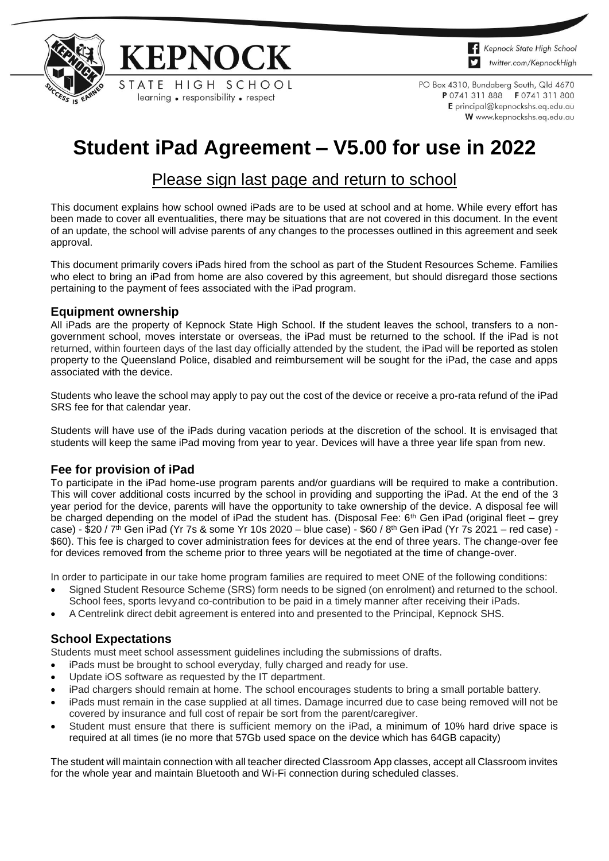



PO Box 4310, Bundaberg South, Qld 4670 P 0741 311 888 F 0741 311 800 E principal@kepnockshs.eq.edu.au W www.kepnockshs.eq.edu.au

# **Student iPad Agreement – V5.00 for use in 2022**

## Please sign last page and return to school

This document explains how school owned iPads are to be used at school and at home. While every effort has been made to cover all eventualities, there may be situations that are not covered in this document. In the event of an update, the school will advise parents of any changes to the processes outlined in this agreement and seek approval.

This document primarily covers iPads hired from the school as part of the Student Resources Scheme. Families who elect to bring an iPad from home are also covered by this agreement, but should disregard those sections pertaining to the payment of fees associated with the iPad program.

#### **Equipment ownership**

All iPads are the property of Kepnock State High School. If the student leaves the school, transfers to a nongovernment school, moves interstate or overseas, the iPad must be returned to the school. If the iPad is not returned, within fourteen days of the last day officially attended by the student, the iPad will be reported as stolen property to the Queensland Police, disabled and reimbursement will be sought for the iPad, the case and apps associated with the device.

Students who leave the school may apply to pay out the cost of the device or receive a pro-rata refund of the iPad SRS fee for that calendar year.

Students will have use of the iPads during vacation periods at the discretion of the school. It is envisaged that students will keep the same iPad moving from year to year. Devices will have a three year life span from new.

#### **Fee for provision of iPad**

To participate in the iPad home-use program parents and/or guardians will be required to make a contribution. This will cover additional costs incurred by the school in providing and supporting the iPad. At the end of the 3 year period for the device, parents will have the opportunity to take ownership of the device. A disposal fee will be charged depending on the model of iPad the student has. (Disposal Fee: 6<sup>th</sup> Gen iPad (original fleet – grey case) - \$20 / 7th Gen iPad (Yr 7s & some Yr 10s 2020 – blue case) - \$60 / 8th Gen iPad (Yr 7s 2021 – red case) -\$60). This fee is charged to cover administration fees for devices at the end of three years. The change-over fee for devices removed from the scheme prior to three years will be negotiated at the time of change-over.

In order to participate in our take home program families are required to meet ONE of the following conditions:

- Signed Student Resource Scheme (SRS) form needs to be signed (on enrolment) and returned to the school.
- School fees, sports levyand co-contribution to be paid in a timely manner after receiving their iPads.
- A Centrelink direct debit agreement is entered into and presented to the Principal, Kepnock SHS.

#### **School Expectations**

Students must meet school assessment guidelines including the submissions of drafts.

- iPads must be brought to school everyday, fully charged and ready for use.
- Update iOS software as requested by the IT department.
- iPad chargers should remain at home. The school encourages students to bring a small portable battery.
- iPads must remain in the case supplied at all times. Damage incurred due to case being removed will not be covered by insurance and full cost of repair be sort from the parent/caregiver.
- Student must ensure that there is sufficient memory on the iPad, a minimum of 10% hard drive space is required at all times (ie no more that 57Gb used space on the device which has 64GB capacity)

The student will maintain connection with all teacher directed Classroom App classes, accept all Classroom invites for the whole year and maintain Bluetooth and Wi-Fi connection during scheduled classes.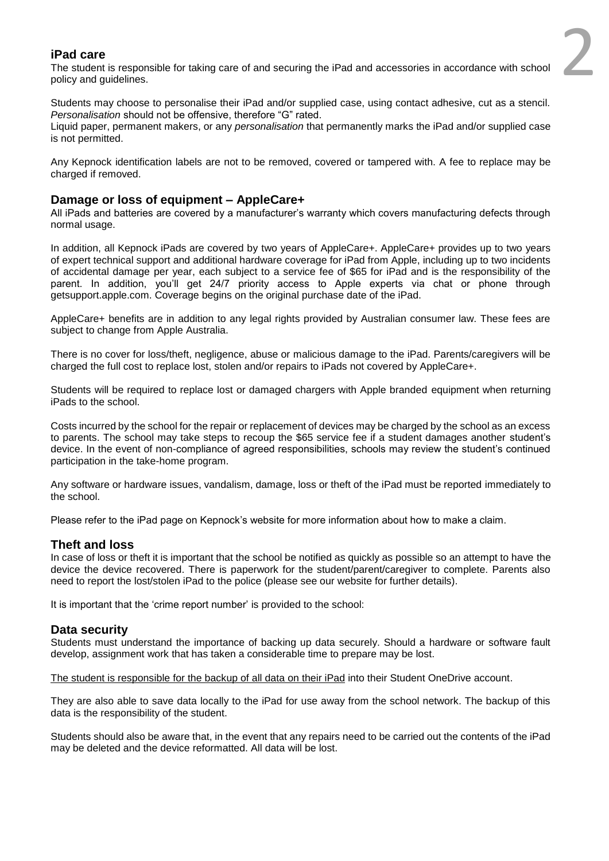#### **iPad care**

The student is responsible for taking care of and securing the iPad and accessories in accordance with school policy and guidelines.

2

Students may choose to personalise their iPad and/or supplied case, using contact adhesive, cut as a stencil. *Personalisation* should not be offensive, therefore "G" rated.

Liquid paper, permanent makers, or any *personalisation* that permanently marks the iPad and/or supplied case is not permitted.

Any Kepnock identification labels are not to be removed, covered or tampered with. A fee to replace may be charged if removed.

#### **Damage or loss of equipment – AppleCare+**

All iPads and batteries are covered by a manufacturer's warranty which covers manufacturing defects through normal usage.

In addition, all Kepnock iPads are covered by two years of AppleCare+. AppleCare+ provides up to two years of expert technical support and additional hardware coverage for iPad from Apple, including up to two incidents of accidental damage per year, each subject to a service fee of \$65 for iPad and is the responsibility of the parent. In addition, you'll get 24/7 priority access to Apple experts via chat or phone through [getsupport.apple.com.](https://getsupport.apple.com/DeepDive.action?locale=en_AU) Coverage begins on the original purchase date of the iPad.

AppleCare+ benefits are in addition to any legal rights provided by Australian consumer law. These fees are subject to change from Apple Australia.

There is no cover for loss/theft, negligence, abuse or malicious damage to the iPad. Parents/caregivers will be charged the full cost to replace lost, stolen and/or repairs to iPads not covered by AppleCare+.

Students will be required to replace lost or damaged chargers with Apple branded equipment when returning iPads to the school.

Costs incurred by the school for the repair or replacement of devices may be charged by the school as an excess to parents. The school may take steps to recoup the \$65 service fee if a student damages another student's device. In the event of non-compliance of agreed responsibilities, schools may review the student's continued participation in the take-home program.

Any software or hardware issues, vandalism, damage, loss or theft of the iPad must be reported immediately to the school.

Please refer to the iPad page on Kepnock's website for more information about how to make a claim.

#### **Theft and loss**

In case of loss or theft it is important that the school be notified as quickly as possible so an attempt to have the device the device recovered. There is paperwork for the student/parent/caregiver to complete. Parents also need to report the lost/stolen iPad to the police (please see our website for further details).

It is important that the 'crime report number' is provided to the school:

#### **Data security**

Students must understand the importance of backing up data securely. Should a hardware or software fault develop, assignment work that has taken a considerable time to prepare may be lost.

The student is responsible for the backup of all data on their iPad into their Student OneDrive account.

They are also able to save data locally to the iPad for use away from the school network. The backup of this data is the responsibility of the student.

Students should also be aware that, in the event that any repairs need to be carried out the contents of the iPad may be deleted and the device reformatted. All data will be lost.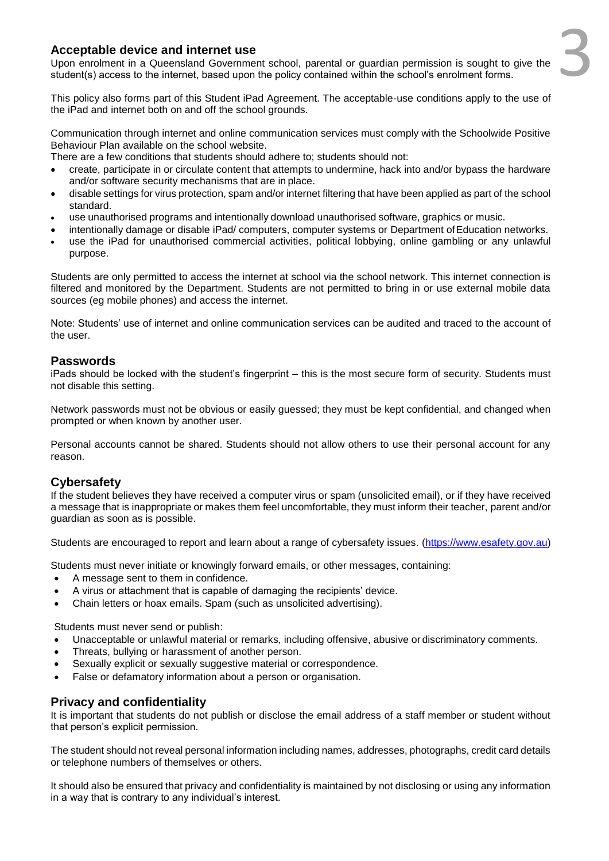# 3

#### **Acceptable device and internet use**

Upon enrolment in a Queensland Government school, parental or guardian permission is sought to give the student(s) access to the internet, based upon the policy contained within the school's enrolment forms.

This policy also forms part of this Student iPad Agreement. The acceptable-use conditions apply to the use of the iPad and internet both on and off the school grounds.

Communication through internet and online communication services must comply with the Schoolwide Positive Behaviour Plan available on the school website.

There are a few conditions that students should adhere to; students should not:

- create, participate in or circulate content that attempts to undermine, hack into and/or bypass the hardware and/or software security mechanisms that are in place.
- disable settings for virus protection, spam and/or internet filtering that have been applied as part of the school standard.
- use unauthorised programs and intentionally download unauthorised software, graphics or music.
- intentionally damage or disable iPad/ computers, computer systems or Department of Education networks.
- use the iPad for unauthorised commercial activities, political lobbying, online gambling or any unlawful purpose.

Students are only permitted to access the internet at school via the school network. This internet connection is filtered and monitored by the Department. Students are not permitted to bring in or use external mobile data sources (eg mobile phones) and access the internet.

Note: Students' use of internet and online communication services can be audited and traced to the account of the user.

#### **Passwords**

iPads should be locked with the student's fingerprint – this is the most secure form of security. Students must not disable this setting.

Network passwords must not be obvious or easily guessed; they must be kept confidential, and changed when prompted or when known by another user.

Personal accounts cannot be shared. Students should not allow others to use their personal account for any reason.

#### **Cybersafety**

If the student believes they have received a computer virus or spam (unsolicited email), or if they have received a message that is inappropriate or makes them feel uncomfortable, they must inform their teacher, parent and/or guardian as soon as is possible.

Students are encouraged to report and learn about a range of cybersafety issues. [\(https://www.esafety.gov.au\)](https://www.esafety.gov.au/)

Students must never initiate or knowingly forward emails, or other messages, containing:

- A message sent to them in confidence.
- A virus or attachment that is capable of damaging the recipients' device.
- Chain letters or hoax emails. Spam (such as unsolicited advertising).

Students must never send or publish:

- Unacceptable or unlawful material or remarks, including offensive, abusive or discriminatory comments.
- Threats, bullying or harassment of another person.
- Sexually explicit or sexually suggestive material or correspondence.
- False or defamatory information about a person or organisation.

#### **Privacy and confidentiality**

It is important that students do not publish or disclose the email address of a staff member or student without that person's explicit permission.

The student should not reveal personal information including names, addresses, photographs, credit card details or telephone numbers of themselves or others.

It should also be ensured that privacy and confidentiality is maintained by not disclosing or using any information in a way that is contrary to any individual's interest.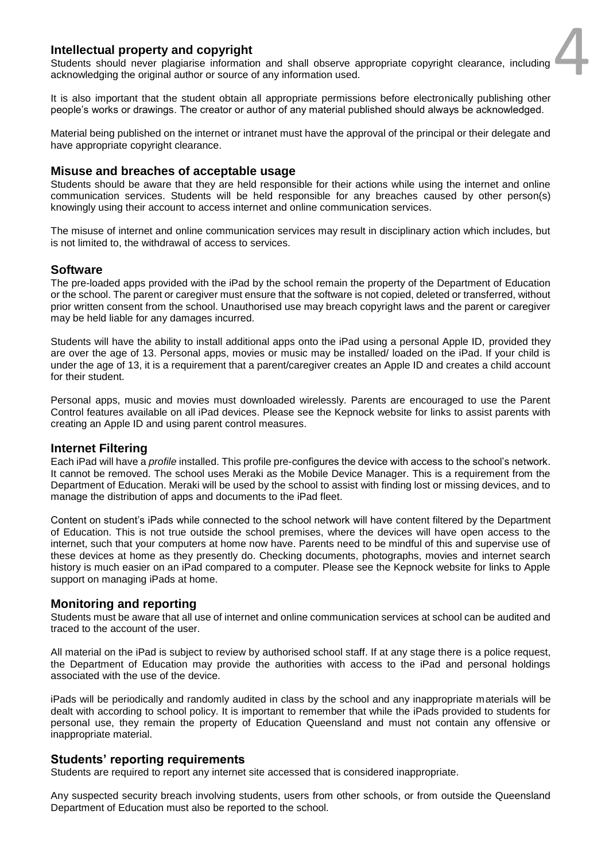#### **Intellectual property and copyright**

Students should never plagiarise information and shall observe appropriate copyright clearance, including acknowledging the original author or source of any information used.

4

It is also important that the student obtain all appropriate permissions before electronically publishing other people's works or drawings. The creator or author of any material published should always be acknowledged.

Material being published on the internet or intranet must have the approval of the principal or their delegate and have appropriate copyright clearance.

#### **Misuse and breaches of acceptable usage**

Students should be aware that they are held responsible for their actions while using the internet and online communication services. Students will be held responsible for any breaches caused by other person(s) knowingly using their account to access internet and online communication services.

The misuse of internet and online communication services may result in disciplinary action which includes, but is not limited to, the withdrawal of access to services.

#### **Software**

The pre-loaded apps provided with the iPad by the school remain the property of the Department of Education or the school. The parent or caregiver must ensure that the software is not copied, deleted or transferred, without prior written consent from the school. Unauthorised use may breach copyright laws and the parent or caregiver may be held liable for any damages incurred.

Students will have the ability to install additional apps onto the iPad using a personal Apple ID, provided they are over the age of 13. Personal apps, movies or music may be installed/ loaded on the iPad. If your child is under the age of 13, it is a requirement that a parent/caregiver creates an Apple ID and creates a child account for their student.

Personal apps, music and movies must downloaded wirelessly. Parents are encouraged to use the Parent Control features available on all iPad devices. Please see the Kepnock website for links to assist parents with creating an Apple ID and using parent control measures.

#### **Internet Filtering**

Each iPad will have a *profile* installed. This profile pre-configures the device with access to the school's network. It cannot be removed. The school uses Meraki as the Mobile Device Manager. This is a requirement from the Department of Education. Meraki will be used by the school to assist with finding lost or missing devices, and to manage the distribution of apps and documents to the iPad fleet.

Content on student's iPads while connected to the school network will have content filtered by the Department of Education. This is not true outside the school premises, where the devices will have open access to the internet, such that your computers at home now have. Parents need to be mindful of this and supervise use of these devices at home as they presently do. Checking documents, photographs, movies and internet search history is much easier on an iPad compared to a computer. Please see the Kepnock website for links to Apple support on managing iPads at home.

#### **Monitoring and reporting**

Students must be aware that all use of internet and online communication services at school can be audited and traced to the account of the user.

All material on the iPad is subject to review by authorised school staff. If at any stage there is a police request, the Department of Education may provide the authorities with access to the iPad and personal holdings associated with the use of the device.

iPads will be periodically and randomly audited in class by the school and any inappropriate materials will be dealt with according to school policy. It is important to remember that while the iPads provided to students for personal use, they remain the property of Education Queensland and must not contain any offensive or inappropriate material.

#### **Students' reporting requirements**

Students are required to report any internet site accessed that is considered inappropriate.

Any suspected security breach involving students, users from other schools, or from outside the Queensland Department of Education must also be reported to the school.